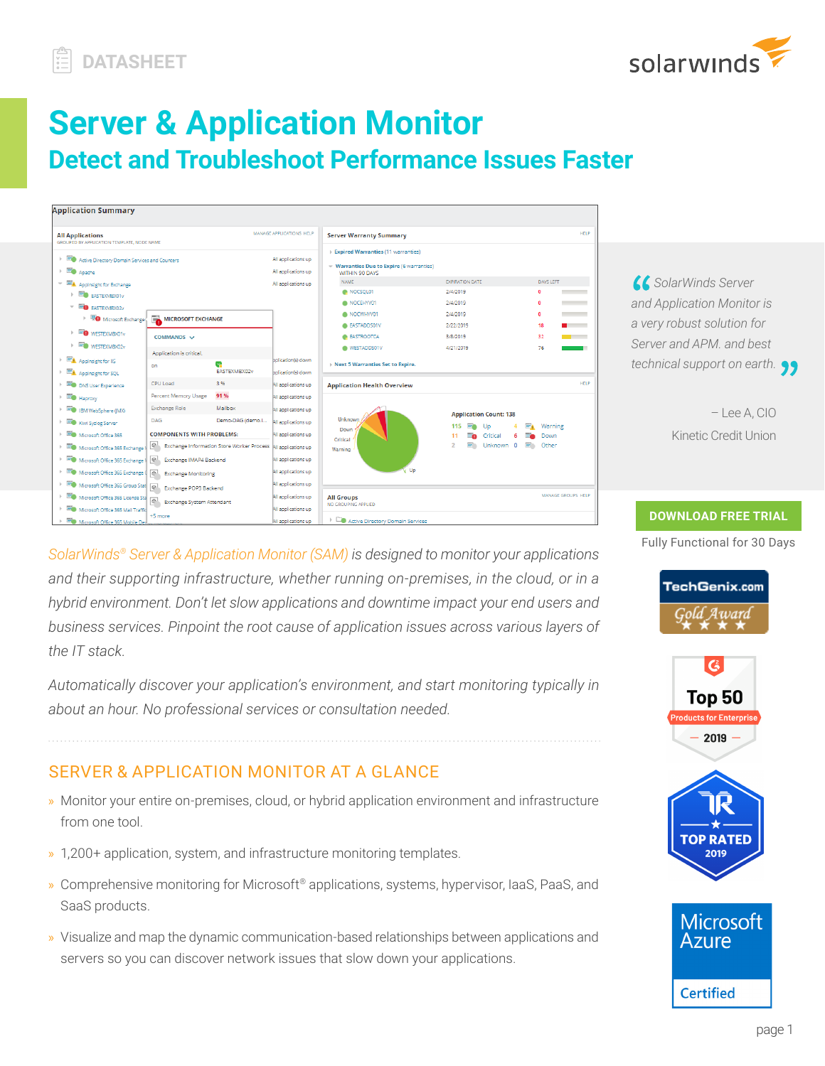

# **Server & Application Monitor Detect and Troubleshoot Performance Issues Faster**

| <b>Application Summary</b>                                            |                                        |                                                  |                          |                                                                  |                                   |                       |             |
|-----------------------------------------------------------------------|----------------------------------------|--------------------------------------------------|--------------------------|------------------------------------------------------------------|-----------------------------------|-----------------------|-------------|
| <b>All Applications</b><br>GROUPED BY APPLICATION TEMPLATE. NODE NAME |                                        |                                                  | MANAGE APPLICATIONS HELP | <b>Server Warranty Summary</b>                                   |                                   |                       | HFLP        |
| Active Directory Domain Services and Counters                         |                                        |                                                  | All applications up      | Expired Warranties (11 warranties)                               |                                   |                       |             |
| $\blacksquare$ Apache                                                 |                                        |                                                  | All applications up      | $\sim$ Warranties Due to Expire (6 warranties)<br>WITHIN 90 DAYS |                                   |                       |             |
| $\mathbf{v} = \mathbf{h}$ Applnsight for Exchange                     |                                        |                                                  | All applications up      | <b>NAME</b>                                                      | <b>EXPIRATION DATE</b>            | <b>DAYS LEFT</b>      |             |
| E EASTEXMENDIV                                                        |                                        |                                                  |                          | NOCSOL01                                                         | 2/4/2019                          | $\mathbf{a}$          |             |
| $\overline{\phantom{a}}$ $\overline{\phantom{a}}$ <b>EASTEXMBX02v</b> |                                        |                                                  |                          | NOCEHYV01                                                        | 2/4/2019                          | n                     |             |
| Microsoft Exchange                                                    | MICROSOFT EXCHANGE                     |                                                  |                          | NOCWHYV01                                                        | 2/4/2019                          | $\bullet$             |             |
|                                                                       |                                        |                                                  |                          | <b>EASTADDS01V</b>                                               | 2/22/2019                         | 18                    |             |
| $\triangleright$ $\blacksquare$ WESTEXMBX01v                          | COMMANDS V                             |                                                  |                          | <b>BASTROOTCA</b>                                                | 3/8/2019                          | 32<br>and the company |             |
| $\mathbb{R}$ WESTEXMBX02v                                             | Application is critical.               |                                                  |                          | WESTADDS01V                                                      | 4/21/2019                         | 76                    |             |
| Appinsight for IIS<br>$\mathbb{R}$                                    | œ.                                     |                                                  | polication(s) down       | Next 5 Warranties Set to Expire.                                 |                                   |                       |             |
| Applnsight for SQL                                                    | on.                                    | EASTEXMBX02v                                     | bolication(s) down       |                                                                  |                                   |                       |             |
| DNS User Experience                                                   | CPU Load                               | 3%                                               | All applications up      | <b>Application Health Overview</b>                               |                                   |                       | <b>HELP</b> |
| E.<br>Haproxy                                                         | Percent Memory Usage                   | 91%                                              | All applications up      |                                                                  |                                   |                       |             |
| <b>ED</b> IBM WebSphere (JMX)                                         | <b>Exchange Role</b>                   | Mailbox                                          | All applications up      |                                                                  | <b>Application Count: 138</b>     |                       |             |
| Kiwi Syslog Server                                                    | DAG                                    | Demo-DAG (demo.)                                 | All applications up      | Unknown                                                          |                                   |                       |             |
| Microsoft Office 365<br>$\mathbf{h}_i$                                | <b>COMPONENTS WITH PROBLEMS:</b>       |                                                  | All applications up      | Down                                                             | Up<br>115<br>m<br>≕⊾<br>Critical  | Warning<br>Down       |             |
| Microsoft Office 365 Exchange I                                       | $\Theta$                               | <b>Exchange Information Store Worker Process</b> | All applications up      | Critical<br>Warning                                              | Unknown 0<br>E.<br>$\overline{2}$ | Other                 |             |
| Microsoft Office 365 Exchange I<br>$\mathbb{R}$                       | $\sqrt{2}$<br>Exchange IMAP4 Backend   |                                                  | All applications up      |                                                                  |                                   |                       |             |
| Microsoft Office 365 Exchange (                                       | $\Theta$<br><b>Exchange Monitoring</b> |                                                  | All applications up      | v Up                                                             |                                   |                       |             |
| Microsoft Office 365 Group Stat   @                                   | Exchange POP3 Backend                  |                                                  | All applications up      |                                                                  |                                   |                       |             |
| Microsoft Office 365 License Sta                                      | Exchange System Attendant              |                                                  | All applications up      | <b>All Groups</b>                                                |                                   | MANAGE GROUPS HELP    |             |
| Microsoft Office 365 Mail Traffic                                     | +5 more                                |                                                  | All applications up      | NO GROUPING APPLIED                                              |                                   |                       |             |
| Microsoft Office 365 Mobile Dev<br>$\vert \cdot \vert$                |                                        |                                                  | All applications up      | Active Directory Domain Services                                 |                                   |                       |             |



– Lee A, CIO Kinetic Credit Union

*SolarWinds® Server & Application Monitor (SAM) is designed to monitor your applications and their supporting infrastructure, whether running on-premises, in the cloud, or in a hybrid environment. Don't let slow applications and downtime impact your end users and business services. Pinpoint the root cause of application issues across various layers of the IT stack.*

*Automatically discover your application's environment, and start monitoring typically in about an hour. No professional services or consultation needed.*

# SERVER & APPLICATION MONITOR AT A GLANCE

- » Monitor your entire on-premises, cloud, or hybrid application environment and infrastructure from one tool.
- » 1,200+ application, system, and infrastructure monitoring templates.
- » Comprehensive monitoring for Microsoft® applications, systems, hypervisor, IaaS, PaaS, and SaaS products.
- » Visualize and map the dynamic communication-based relationships between applications and servers so you can discover network issues that slow down your applications.

#### **DOWNLOAD FREE TRIAL**

Fully Functional for 30 Days







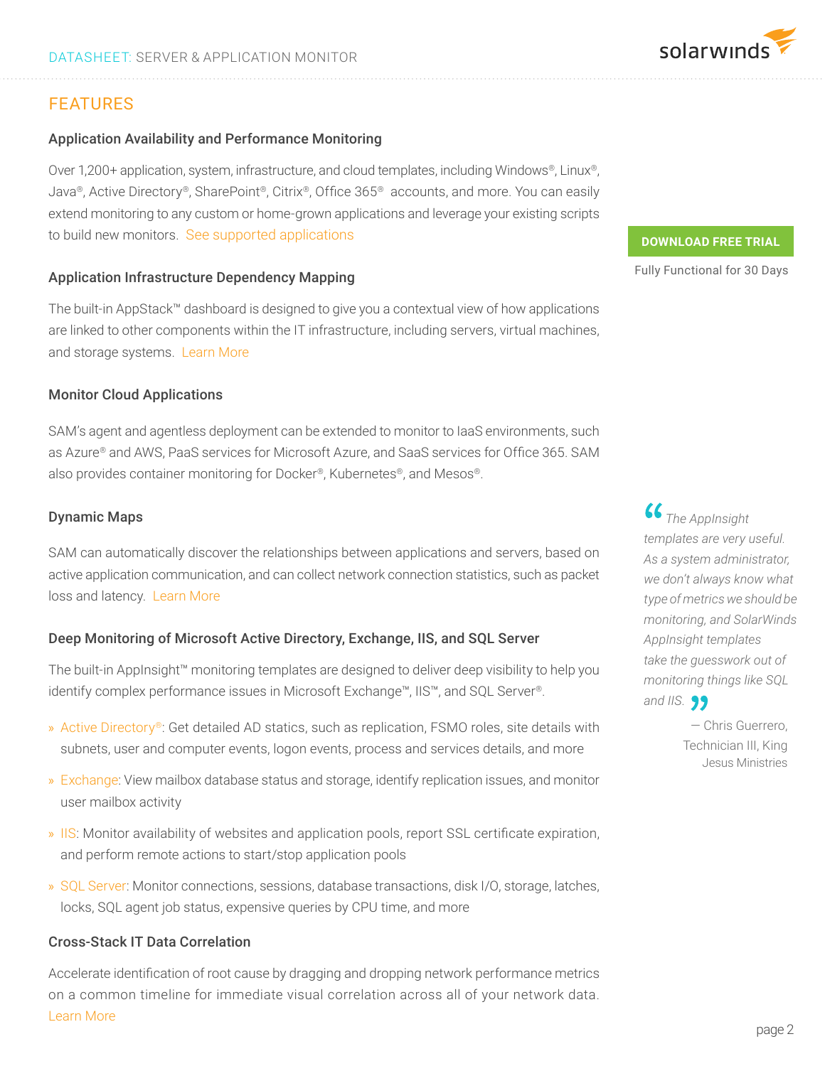# FEATURES

#### Application Availability and Performance Monitoring

Over 1,200+ application, system, infrastructure, and cloud templates, including Windows®, Linux®, Java®, Active Directory®, SharePoint®, Citrix®, Office 365® accounts, and more. You can easily extend monitoring to any custom or home-grown applications and leverage your existing scripts to build new monitors. See supported applications

#### Application Infrastructure Dependency Mapping

The built-in AppStack™ dashboard is designed to give you a contextual view of how applications are linked to other components within the IT infrastructure, including servers, virtual machines, and storage systems. Learn More

#### Monitor Cloud Applications

SAM's agent and agentless deployment can be extended to monitor to IaaS environments, such as Azure® and AWS, PaaS services for Microsoft Azure, and SaaS services for Office 365. SAM also provides container monitoring for Docker®, Kubernetes®, and Mesos®.

#### Dynamic Maps

SAM can automatically discover the relationships between applications and servers, based on active application communication, and can collect network connection statistics, such as packet loss and latency. Learn More

#### Deep Monitoring of Microsoft Active Directory, Exchange, IIS, and SQL Server

The built-in AppInsight™ monitoring templates are designed to deliver deep visibility to help you identify complex performance issues in Microsoft Exchange™, IIS™, and SQL Server®.

- » Active Directory®: Get detailed AD statics, such as replication, FSMO roles, site details with subnets, user and computer events, logon events, process and services details, and more
- » Exchange: View mailbox database status and storage, identify replication issues, and monitor user mailbox activity
- » IIS: Monitor availability of websites and application pools, report SSL certificate expiration, and perform remote actions to start/stop application pools
- » SQL Server: Monitor connections, sessions, database transactions, disk I/O, storage, latches, locks, SQL agent job status, expensive queries by CPU time, and more

#### Cross-Stack IT Data Correlation

Accelerate identification of root cause by dragging and dropping network performance metrics on a common timeline for immediate visual correlation across all of your network data. Learn More

#### **DOWNLOAD FREE TRIAL**

Fully Functional for 30 Days

 *The AppInsight templates are very useful. As a system administrator, we don't always know what type of metrics we should be monitoring, and SolarWinds AppInsight templates take the guesswork out of monitoring things like SQL and IIS.*

> — Chris Guerrero, Technician III, King Jesus Ministries

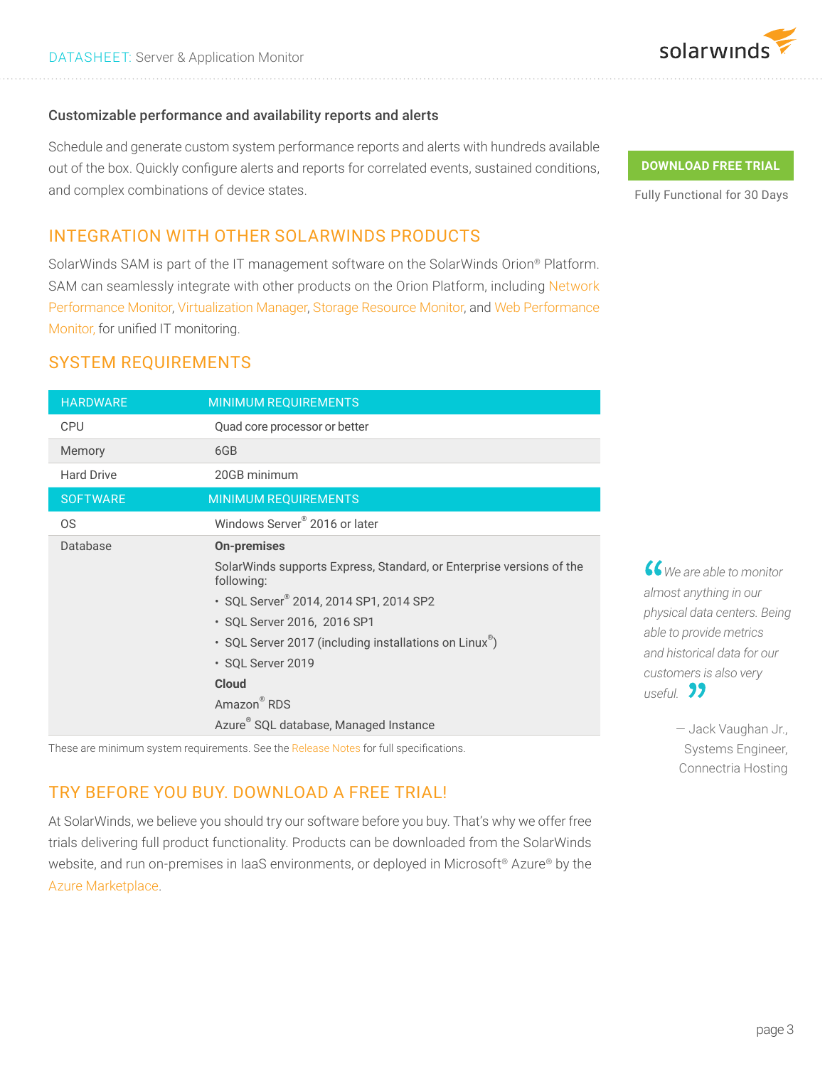

#### Customizable performance and availability reports and alerts

Schedule and generate custom system performance reports and alerts with hundreds available out of the box. Quickly configure alerts and reports for correlated events, sustained conditions, and complex combinations of device states.

## INTEGRATION WITH OTHER SOLARWINDS PRODUCTS

SolarWinds SAM is part of the IT management software on the SolarWinds Orion® Platform. SAM can seamlessly integrate with other products on the Orion Platform, including Network Performance Monitor, Virtualization Manager, Storage Resource Monitor, and Web Performance Monitor, for unified IT monitoring.

## SYSTEM REQUIREMENTS

| <b>HARDWARE</b>   | <b>MINIMUM REQUIREMENTS</b>                                                        |  |  |  |  |
|-------------------|------------------------------------------------------------------------------------|--|--|--|--|
| <b>CPU</b>        | Quad core processor or better                                                      |  |  |  |  |
| Memory            | 6GB                                                                                |  |  |  |  |
| <b>Hard Drive</b> | 20GB minimum                                                                       |  |  |  |  |
| <b>SOFTWARE</b>   | <b>MINIMUM REQUIREMENTS</b>                                                        |  |  |  |  |
| 0S                | Windows Server <sup>®</sup> 2016 or later                                          |  |  |  |  |
| Database          | <b>On-premises</b>                                                                 |  |  |  |  |
|                   | SolarWinds supports Express, Standard, or Enterprise versions of the<br>following: |  |  |  |  |
|                   | · SQL Server® 2014, 2014 SP1, 2014 SP2                                             |  |  |  |  |
|                   | • SQL Server 2016, 2016 SP1                                                        |  |  |  |  |
|                   | • SQL Server 2017 (including installations on Linux <sup>®</sup> )                 |  |  |  |  |
|                   | · SQL Server 2019                                                                  |  |  |  |  |
|                   | <b>Cloud</b>                                                                       |  |  |  |  |
|                   | Amazon <sup>®</sup> RDS                                                            |  |  |  |  |
|                   | Azure <sup>®</sup> SQL database, Managed Instance                                  |  |  |  |  |

These are minimum system requirements. See the Release Notes for full specifications.

## TRY BEFORE YOU BUY. DOWNLOAD A FREE TRIAL!

At SolarWinds, we believe you should try our software before you buy. That's why we offer free trials delivering full product functionality. Products can be downloaded from the SolarWinds website, and run on-premises in IaaS environments, or deployed in Microsoft®️ Azure® by the Azure Marketplace.

#### **DOWNLOAD FREE TRIAL**

Fully Functional for 30 Days

 *We are able to monitor almost anything in our physical data centers. Being able to provide metrics and historical data for our customers is also very useful.*

> — Jack Vaughan Jr., Systems Engineer, Connectria Hosting